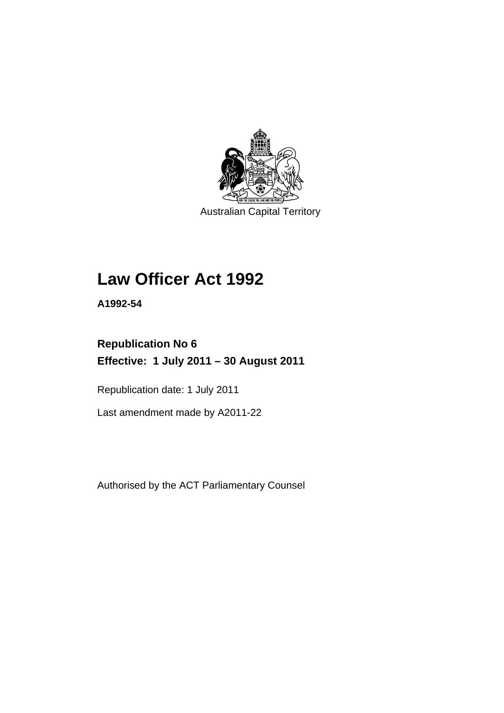

Australian Capital Territory

## **Law Officer Act 1992**

**A1992-54** 

## **Republication No 6 Effective: 1 July 2011 – 30 August 2011**

Republication date: 1 July 2011

Last amendment made by A2011-22

Authorised by the ACT Parliamentary Counsel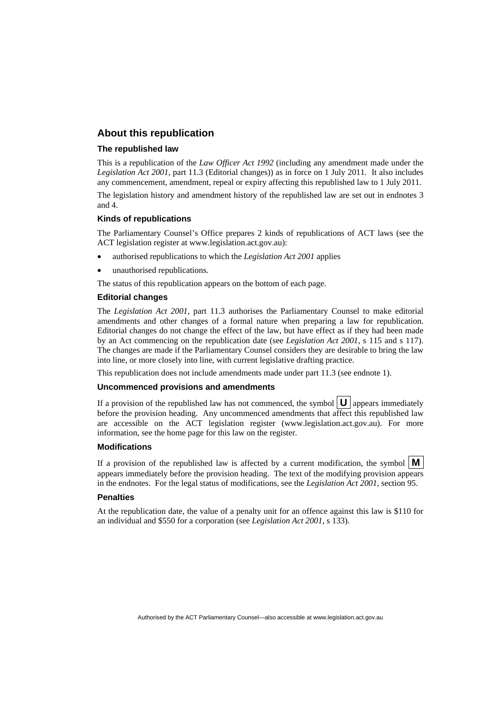## **About this republication**

#### **The republished law**

This is a republication of the *Law Officer Act 1992* (including any amendment made under the *Legislation Act 2001*, part 11.3 (Editorial changes)) as in force on 1 July 2011*.* It also includes any commencement, amendment, repeal or expiry affecting this republished law to 1 July 2011.

The legislation history and amendment history of the republished law are set out in endnotes 3 and 4.

#### **Kinds of republications**

The Parliamentary Counsel's Office prepares 2 kinds of republications of ACT laws (see the ACT legislation register at www.legislation.act.gov.au):

- authorised republications to which the *Legislation Act 2001* applies
- unauthorised republications.

The status of this republication appears on the bottom of each page.

#### **Editorial changes**

The *Legislation Act 2001*, part 11.3 authorises the Parliamentary Counsel to make editorial amendments and other changes of a formal nature when preparing a law for republication. Editorial changes do not change the effect of the law, but have effect as if they had been made by an Act commencing on the republication date (see *Legislation Act 2001*, s 115 and s 117). The changes are made if the Parliamentary Counsel considers they are desirable to bring the law into line, or more closely into line, with current legislative drafting practice.

This republication does not include amendments made under part 11.3 (see endnote 1).

#### **Uncommenced provisions and amendments**

If a provision of the republished law has not commenced, the symbol  $\mathbf{U}$  appears immediately before the provision heading. Any uncommenced amendments that affect this republished law are accessible on the ACT legislation register (www.legislation.act.gov.au). For more information, see the home page for this law on the register.

#### **Modifications**

If a provision of the republished law is affected by a current modification, the symbol  $\mathbf{M}$ appears immediately before the provision heading. The text of the modifying provision appears in the endnotes. For the legal status of modifications, see the *Legislation Act 2001*, section 95.

#### **Penalties**

At the republication date, the value of a penalty unit for an offence against this law is \$110 for an individual and \$550 for a corporation (see *Legislation Act 2001*, s 133).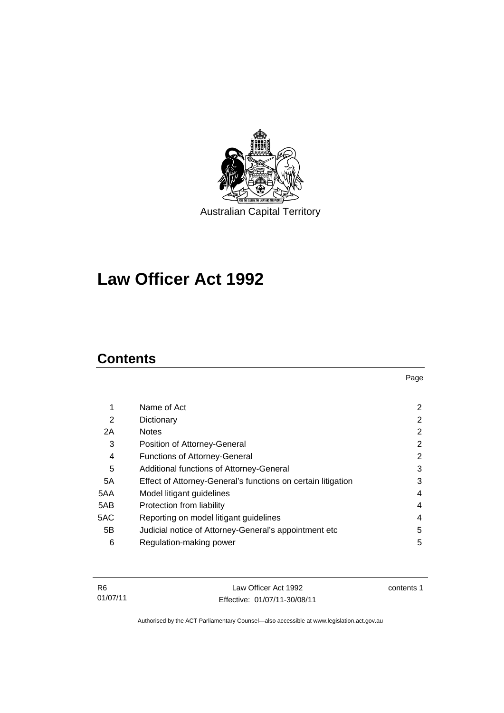

# **Law Officer Act 1992**

## **Contents**

| 1   | Name of Act                                                  | 2              |
|-----|--------------------------------------------------------------|----------------|
| 2   | Dictionary                                                   | 2              |
| 2A  | <b>Notes</b>                                                 | $\overline{2}$ |
| 3   | Position of Attorney-General                                 | $\overline{2}$ |
| 4   | <b>Functions of Attorney-General</b>                         | $\overline{2}$ |
| 5   | Additional functions of Attorney-General                     | 3              |
| 5A  | Effect of Attorney-General's functions on certain litigation | 3              |
| 5AA | Model litigant guidelines                                    | 4              |
| 5AB | Protection from liability                                    | 4              |
| 5AC | Reporting on model litigant guidelines                       | 4              |
| 5B  | Judicial notice of Attorney-General's appointment etc        | 5              |
| 6   | Regulation-making power                                      | 5              |
|     |                                                              |                |

| - R6     | Law Officer Act 1992         | contents 1 |
|----------|------------------------------|------------|
| 01/07/11 | Effective: 01/07/11-30/08/11 |            |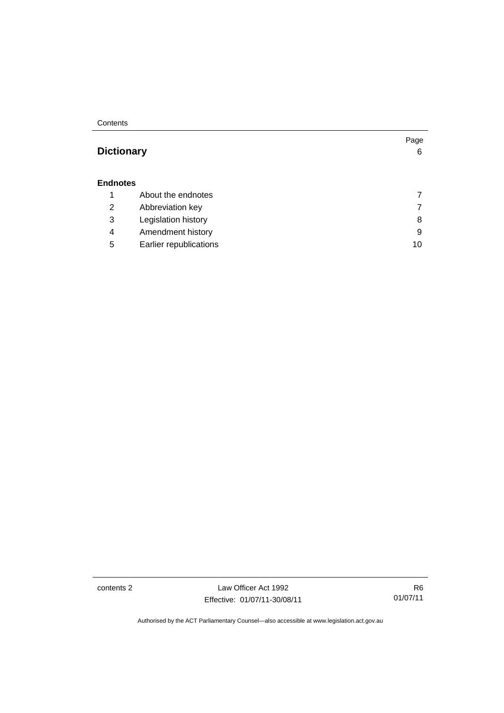**Contents** 

## **[Dictionary](#page-9-0)** [6](#page-9-0)

### **[Endnotes](#page-10-0)**

|  |   | About the endnotes     |    |
|--|---|------------------------|----|
|  | 2 | Abbreviation key       |    |
|  | 3 | Legislation history    | 8  |
|  | 4 | Amendment history      | 9  |
|  | 5 | Earlier republications | 10 |
|  |   |                        |    |

contents 2 Law Officer Act 1992 Effective: 01/07/11-30/08/11

R6 01/07/11

Page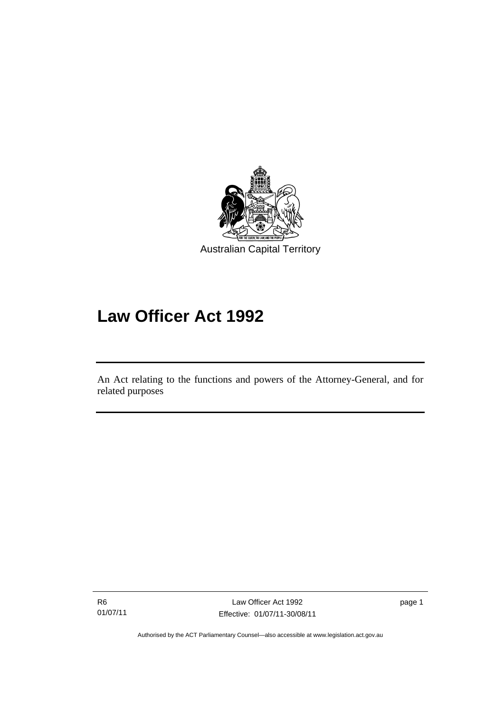

## **Law Officer Act 1992**

An Act relating to the functions and powers of the Attorney-General, and for related purposes

R6 01/07/11

l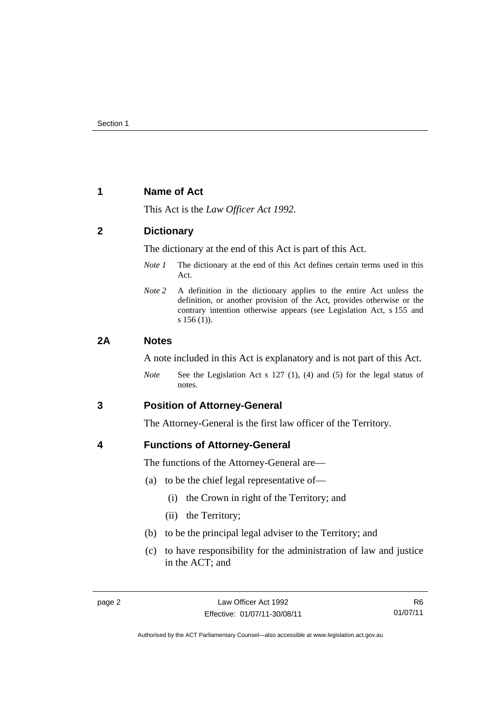## <span id="page-5-0"></span>**1 Name of Act**

This Act is the *Law Officer Act 1992.*

## <span id="page-5-1"></span>**2 Dictionary**

The dictionary at the end of this Act is part of this Act.

- *Note 1* The dictionary at the end of this Act defines certain terms used in this Act.
- *Note 2* A definition in the dictionary applies to the entire Act unless the definition, or another provision of the Act, provides otherwise or the contrary intention otherwise appears (see Legislation Act, s 155 and s 156 (1)).

### <span id="page-5-2"></span>**2A Notes**

A note included in this Act is explanatory and is not part of this Act.

*Note* See the Legislation Act s 127 (1), (4) and (5) for the legal status of notes.

## <span id="page-5-3"></span>**3 Position of Attorney-General**

The Attorney-General is the first law officer of the Territory.

## <span id="page-5-4"></span>**4 Functions of Attorney-General**

The functions of the Attorney-General are—

- (a) to be the chief legal representative of—
	- (i) the Crown in right of the Territory; and
	- (ii) the Territory;
- (b) to be the principal legal adviser to the Territory; and
- (c) to have responsibility for the administration of law and justice in the ACT; and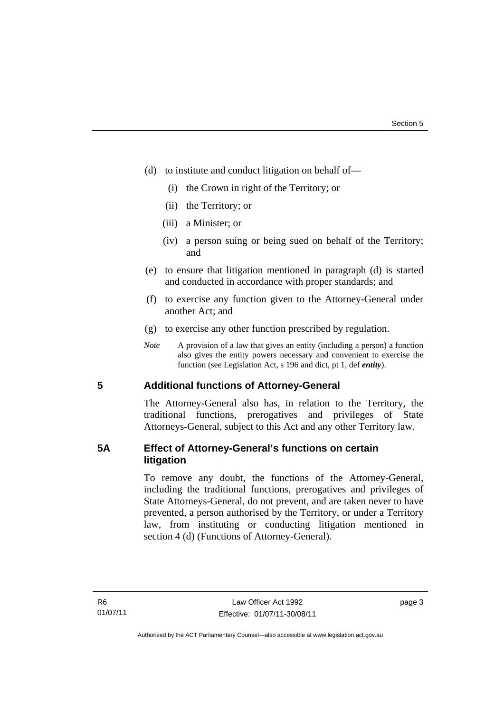- (d) to institute and conduct litigation on behalf of—
	- (i) the Crown in right of the Territory; or
	- (ii) the Territory; or
	- (iii) a Minister; or
	- (iv) a person suing or being sued on behalf of the Territory; and
- (e) to ensure that litigation mentioned in paragraph (d) is started and conducted in accordance with proper standards; and
- (f) to exercise any function given to the Attorney-General under another Act; and
- (g) to exercise any other function prescribed by regulation.
- *Note* A provision of a law that gives an entity (including a person) a function also gives the entity powers necessary and convenient to exercise the function (see Legislation Act, s 196 and dict, pt 1, def *entity*).

## <span id="page-6-0"></span>**5 Additional functions of Attorney-General**

The Attorney-General also has, in relation to the Territory, the traditional functions, prerogatives and privileges of State Attorneys-General, subject to this Act and any other Territory law.

## <span id="page-6-1"></span>**5A Effect of Attorney-General's functions on certain litigation**

To remove any doubt, the functions of the Attorney-General, including the traditional functions, prerogatives and privileges of State Attorneys-General, do not prevent, and are taken never to have prevented, a person authorised by the Territory, or under a Territory law, from instituting or conducting litigation mentioned in section 4 (d) (Functions of Attorney-General).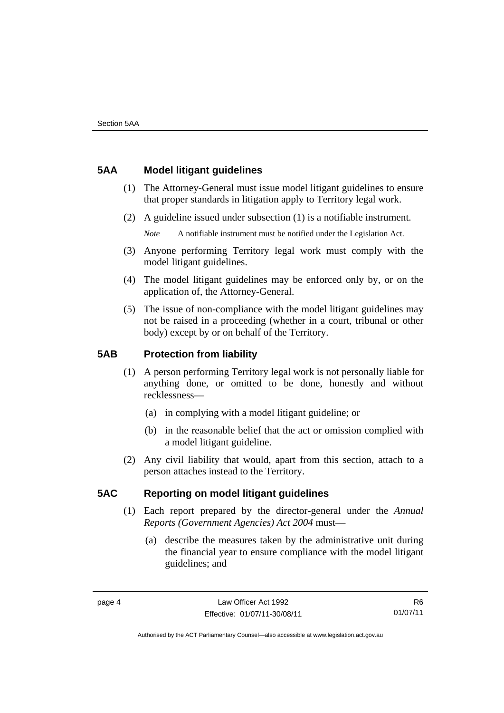## <span id="page-7-0"></span>**5AA Model litigant guidelines**

- (1) The Attorney-General must issue model litigant guidelines to ensure that proper standards in litigation apply to Territory legal work.
- (2) A guideline issued under subsection (1) is a notifiable instrument.

*Note* A notifiable instrument must be notified under the Legislation Act.

- (3) Anyone performing Territory legal work must comply with the model litigant guidelines.
- (4) The model litigant guidelines may be enforced only by, or on the application of, the Attorney-General.
- (5) The issue of non-compliance with the model litigant guidelines may not be raised in a proceeding (whether in a court, tribunal or other body) except by or on behalf of the Territory.

## <span id="page-7-1"></span>**5AB Protection from liability**

- (1) A person performing Territory legal work is not personally liable for anything done, or omitted to be done, honestly and without recklessness—
	- (a) in complying with a model litigant guideline; or
	- (b) in the reasonable belief that the act or omission complied with a model litigant guideline.
- (2) Any civil liability that would, apart from this section, attach to a person attaches instead to the Territory.

## <span id="page-7-2"></span>**5AC Reporting on model litigant guidelines**

- (1) Each report prepared by the director-general under the *Annual Reports (Government Agencies) Act 2004* must—
	- (a) describe the measures taken by the administrative unit during the financial year to ensure compliance with the model litigant guidelines; and

R6 01/07/11

Authorised by the ACT Parliamentary Counsel—also accessible at www.legislation.act.gov.au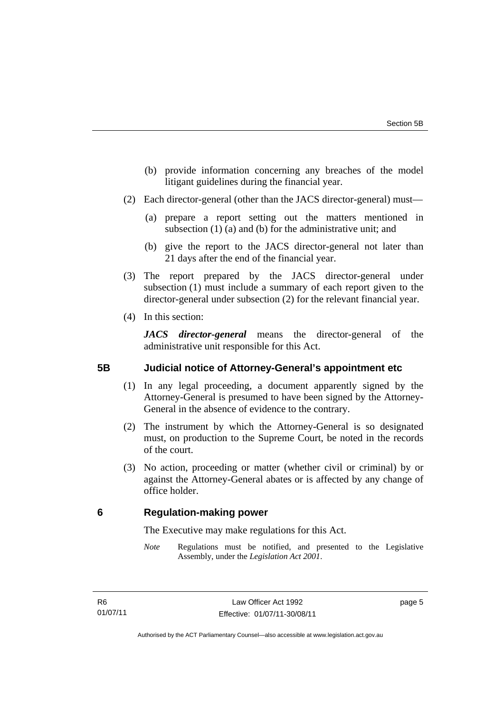- (b) provide information concerning any breaches of the model litigant guidelines during the financial year.
- (2) Each director-general (other than the JACS director-general) must—
	- (a) prepare a report setting out the matters mentioned in subsection (1) (a) and (b) for the administrative unit; and
	- (b) give the report to the JACS director-general not later than 21 days after the end of the financial year.
- (3) The report prepared by the JACS director-general under subsection (1) must include a summary of each report given to the director-general under subsection (2) for the relevant financial year.
- (4) In this section:

*JACS director-general* means the director-general of the administrative unit responsible for this Act.

## <span id="page-8-0"></span>**5B Judicial notice of Attorney-General's appointment etc**

- (1) In any legal proceeding, a document apparently signed by the Attorney-General is presumed to have been signed by the Attorney-General in the absence of evidence to the contrary.
- (2) The instrument by which the Attorney-General is so designated must, on production to the Supreme Court, be noted in the records of the court.
- (3) No action, proceeding or matter (whether civil or criminal) by or against the Attorney-General abates or is affected by any change of office holder.

## <span id="page-8-1"></span>**6 Regulation-making power**

The Executive may make regulations for this Act.

*Note* Regulations must be notified, and presented to the Legislative Assembly, under the *Legislation Act 2001*.

page 5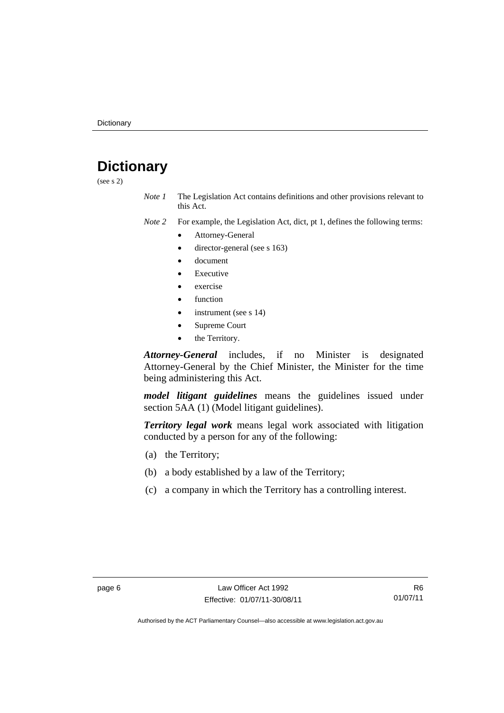## <span id="page-9-0"></span>**Dictionary**

(see s 2)

*Note 1* The Legislation Act contains definitions and other provisions relevant to this Act.

*Note 2* For example, the Legislation Act, dict, pt 1, defines the following terms:

- Attorney-General
	- director-general (see s 163)
- document
- Executive
- exercise
- function
- instrument (see s 14)
- Supreme Court
- the Territory.

*Attorney-General* includes, if no Minister is designated Attorney-General by the Chief Minister, the Minister for the time being administering this Act.

*model litigant guidelines* means the guidelines issued under section 5AA (1) (Model litigant guidelines).

*Territory legal work* means legal work associated with litigation conducted by a person for any of the following:

- (a) the Territory;
- (b) a body established by a law of the Territory;
- (c) a company in which the Territory has a controlling interest.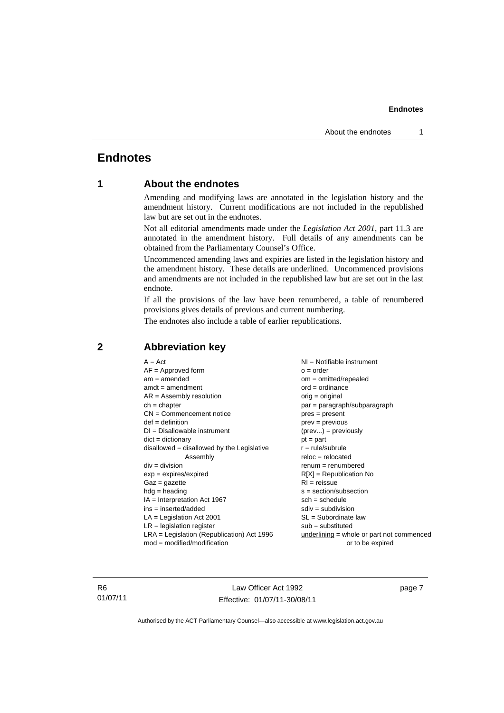## <span id="page-10-0"></span>**Endnotes**

## **1 About the endnotes**

Amending and modifying laws are annotated in the legislation history and the amendment history. Current modifications are not included in the republished law but are set out in the endnotes.

Not all editorial amendments made under the *Legislation Act 2001*, part 11.3 are annotated in the amendment history. Full details of any amendments can be obtained from the Parliamentary Counsel's Office.

Uncommenced amending laws and expiries are listed in the legislation history and the amendment history. These details are underlined. Uncommenced provisions and amendments are not included in the republished law but are set out in the last endnote.

If all the provisions of the law have been renumbered, a table of renumbered provisions gives details of previous and current numbering.

The endnotes also include a table of earlier republications.

| $A = Act$                                    | $NI = Notifiable$ instrument              |
|----------------------------------------------|-------------------------------------------|
| $AF =$ Approved form                         | $o = order$                               |
| $am = amended$                               | $om = omitted/repealed$                   |
| $amdt = amendment$                           | $ord = ordinance$                         |
| $AR = Assembly resolution$                   | $orig = original$                         |
| $ch = chapter$                               | $par = paragraph/subparagraph$            |
| $CN =$ Commencement notice                   | $pres = present$                          |
| $def = definition$                           | $prev = previous$                         |
| $DI = Disallowable instrument$               | $(\text{prev}) = \text{previously}$       |
| $dict = dictionary$                          | $pt = part$                               |
| $disallowed = disallowed by the Legislative$ | $r = rule/subrule$                        |
| Assembly                                     | $reloc = relocated$                       |
| $div =$ division                             | $remum = renumbered$                      |
| $exp = expires/expired$                      | $R[X]$ = Republication No                 |
| $Gaz = gazette$                              | $RI = reissue$                            |
| $hdg = heading$                              | $s = section/subsection$                  |
| $IA = Interpretation Act 1967$               | $sch = schedule$                          |
| $ins = inserted/added$                       | $sdiv = subdivision$                      |
| $LA =$ Legislation Act 2001                  | $SL = Subordinate$ law                    |
| $LR =$ legislation register                  | $sub =$ substituted                       |
| $LRA =$ Legislation (Republication) Act 1996 | underlining = whole or part not commenced |
| $mod = modified/mol$                         | or to be expired                          |
|                                              |                                           |

## <span id="page-10-2"></span>**2 Abbreviation key**

R6 01/07/11

Law Officer Act 1992 Effective: 01/07/11-30/08/11

page 7

<span id="page-10-1"></span>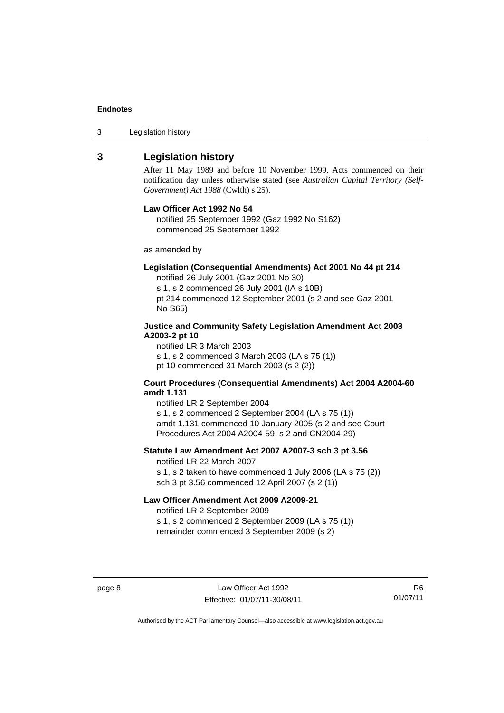3 Legislation history

### <span id="page-11-0"></span>**3 Legislation history**

After 11 May 1989 and before 10 November 1999, Acts commenced on their notification day unless otherwise stated (see *Australian Capital Territory (Self-Government) Act 1988* (Cwlth) s 25).

#### **Law Officer Act 1992 No 54**

notified 25 September 1992 (Gaz 1992 No S162) commenced 25 September 1992

as amended by

### **Legislation (Consequential Amendments) Act 2001 No 44 pt 214**

notified 26 July 2001 (Gaz 2001 No 30)

s 1, s 2 commenced 26 July 2001 (IA s 10B) pt 214 commenced 12 September 2001 (s 2 and see Gaz 2001 No S65)

#### **Justice and Community Safety Legislation Amendment Act 2003 A2003-2 pt 10**

notified LR 3 March 2003 s 1, s 2 commenced 3 March 2003 (LA s 75 (1)) pt 10 commenced 31 March 2003 (s 2 (2))

#### **Court Procedures (Consequential Amendments) Act 2004 A2004-60 amdt 1.131**

notified LR 2 September 2004 s 1, s 2 commenced 2 September 2004 (LA s 75 (1)) amdt 1.131 commenced 10 January 2005 (s 2 and see Court Procedures Act 2004 A2004-59, s 2 and CN2004-29)

#### **Statute Law Amendment Act 2007 A2007-3 sch 3 pt 3.56**

notified LR 22 March 2007 s 1, s 2 taken to have commenced 1 July 2006 (LA s 75 (2)) sch 3 pt 3.56 commenced 12 April 2007 (s 2 (1))

### **Law Officer Amendment Act 2009 A2009-21**

notified LR 2 September 2009 s 1, s 2 commenced 2 September 2009 (LA s 75 (1)) remainder commenced 3 September 2009 (s 2)

R6 01/07/11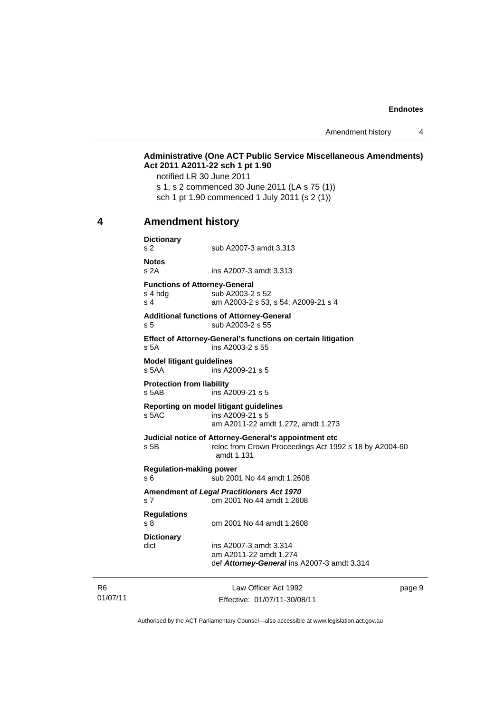Amendment history 4

#### **Administrative (One ACT Public Service Miscellaneous Amendments) Act 2011 A2011-22 sch 1 pt 1.90**  notified LR 30 June 2011

s 1, s 2 commenced 30 June 2011 (LA s 75 (1)) sch 1 pt 1.90 commenced 1 July 2011 (s 2 (1))

#### <span id="page-12-0"></span>**4 Amendment history**

**Dictionary**  s 2 sub A2007-3 amdt 3.313

**Notes**  s 2A ins A2007-3 amdt 3.313

**Functions of Attorney-General**  s 4 hdg sub A2003-2 s 52 s 4 am A2003-2 s 53, s 54; A2009-21 s 4

#### **Additional functions of Attorney-General**  s 5 sub A2003-2 s 55

**Effect of Attorney-General's functions on certain litigation**  s 5A ins A2003-2 s 55

**Model litigant guidelines**  s 5AA ins A2009-21 s 5

**Protection from liability**  ins A2009-21 s 5

#### **Reporting on model litigant guidelines**

s 5AC ins A2009-21 s 5 am A2011-22 amdt 1.272, amdt 1.273

#### **Judicial notice of Attorney-General's appointment etc**

s 5B reloc from Crown Proceedings Act 1992 s 18 by A2004-60 amdt 1.131

#### **Regulation-making power**

s 6 sub 2001 No 44 amdt 1.2608

#### **Amendment of** *Legal Practitioners Act 1970* s 7 om 2001 No 44 amdt 1.2608

**Regulations** 

s 8 om 2001 No 44 amdt 1.2608

**Dictionary** 

dict ins A2007-3 amdt 3.314 am A2011-22 amdt 1.274 def *Attorney-General* ins A2007-3 amdt 3.314

R6 01/07/11

Law Officer Act 1992 Effective: 01/07/11-30/08/11 page 9